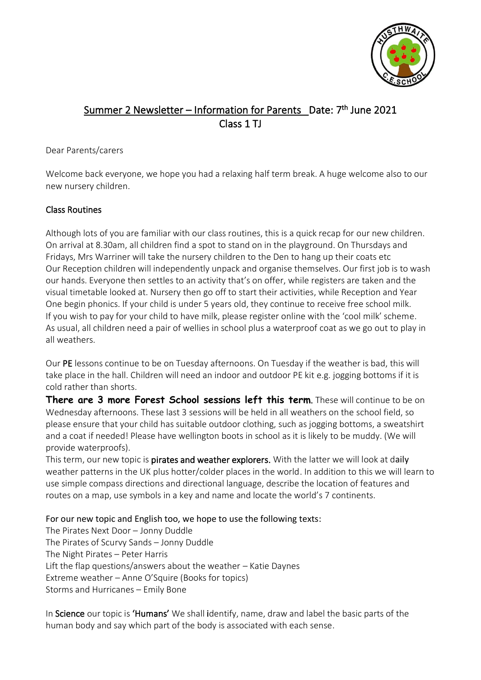

# Summer 2 Newsletter – Information for Parents Date: 7<sup>th</sup> June 2021 Class 1 TJ

#### Dear Parents/carers

Welcome back everyone, we hope you had a relaxing half term break. A huge welcome also to our new nursery children.

## Class Routines

Although lots of you are familiar with our class routines, this is a quick recap for our new children. On arrival at 8.30am, all children find a spot to stand on in the playground. On Thursdays and Fridays, Mrs Warriner will take the nursery children to the Den to hang up their coats etc Our Reception children will independently unpack and organise themselves. Our first job is to wash our hands. Everyone then settles to an activity that's on offer, while registers are taken and the visual timetable looked at. Nursery then go off to start their activities, while Reception and Year One begin phonics. If your child is under 5 years old, they continue to receive free school milk. If you wish to pay for your child to have milk, please register online with the 'cool milk' scheme. As usual, all children need a pair of wellies in school plus a waterproof coat as we go out to play in all weathers.

Our PE lessons continue to be on Tuesday afternoons. On Tuesday if the weather is bad, this will take place in the hall. Children will need an indoor and outdoor PE kit e.g. jogging bottoms if it is cold rather than shorts.

**There are 3 more Forest School sessions left this term**. These will continue to be on Wednesday afternoons. These last 3 sessions will be held in all weathers on the school field, so please ensure that your child has suitable outdoor clothing, such as jogging bottoms, a sweatshirt and a coat if needed! Please have wellington boots in school as it is likely to be muddy. (We will provide waterproofs).

This term, our new topic is **pirates and weather explorers.** With the latter we will look at daily weather patterns in the UK plus hotter/colder places in the world. In addition to this we will learn to use simple compass directions and directional language, describe the location of features and routes on a map, use symbols in a key and name and locate the world's 7 continents.

# For our new topic and English too, we hope to use the following texts:

The Pirates Next Door – Jonny Duddle The Pirates of Scurvy Sands – Jonny Duddle The Night Pirates – Peter Harris Lift the flap questions/answers about the weather – Katie Daynes Extreme weather – Anne O'Squire (Books for topics) Storms and Hurricanes – Emily Bone

In Science our topic is 'Humans' We shall identify, name, draw and label the basic parts of the human body and say which part of the body is associated with each sense.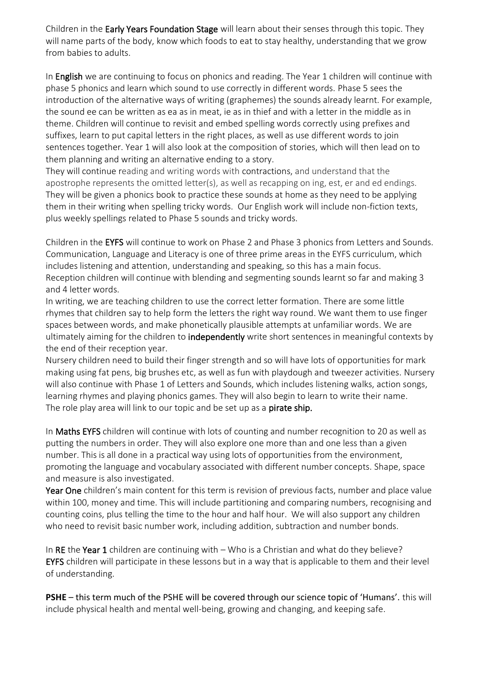Children in the Early Years Foundation Stage will learn about their senses through this topic. They will name parts of the body, know which foods to eat to stay healthy, understanding that we grow from babies to adults.

In English we are continuing to focus on phonics and reading. The Year 1 children will continue with phase 5 phonics and learn which sound to use correctly in different words. Phase 5 sees the introduction of the alternative ways of writing (graphemes) the sounds already learnt. For example, the sound ee can be written as ea as in meat, ie as in thief and with a letter in the middle as in theme. Children will continue to revisit and embed spelling words correctly using prefixes and suffixes, learn to put capital letters in the right places, as well as use different words to join sentences together. Year 1 will also look at the composition of stories, which will then lead on to them planning and writing an alternative ending to a story.

They will continue reading and writing words with contractions, and understand that the apostrophe represents the omitted letter(s), as well as recapping on ing, est, er and ed endings. They will be given a phonics book to practice these sounds at home as they need to be applying them in their writing when spelling tricky words. Our English work will include non-fiction texts, plus weekly spellings related to Phase 5 sounds and tricky words.

Children in the EYFS will continue to work on Phase 2 and Phase 3 phonics from Letters and Sounds. Communication, Language and Literacy is one of three prime areas in the EYFS curriculum, which includes listening and attention, understanding and speaking, so this has a main focus. Reception children will continue with blending and segmenting sounds learnt so far and making 3 and 4 letter words.

In writing, we are teaching children to use the correct letter formation. There are some little rhymes that children say to help form the letters the right way round. We want them to use finger spaces between words, and make phonetically plausible attempts at unfamiliar words. We are ultimately aiming for the children to **independently** write short sentences in meaningful contexts by the end of their reception year.

Nursery children need to build their finger strength and so will have lots of opportunities for mark making using fat pens, big brushes etc, as well as fun with playdough and tweezer activities. Nursery will also continue with Phase 1 of Letters and Sounds, which includes listening walks, action songs, learning rhymes and playing phonics games. They will also begin to learn to write their name. The role play area will link to our topic and be set up as a **pirate ship.** 

In Maths EYFS children will continue with lots of counting and number recognition to 20 as well as putting the numbers in order. They will also explore one more than and one less than a given number. This is all done in a practical way using lots of opportunities from the environment, promoting the language and vocabulary associated with different number concepts. Shape, space and measure is also investigated.

Year One children's main content for this term is revision of previous facts, number and place value within 100, money and time. This will include partitioning and comparing numbers, recognising and counting coins, plus telling the time to the hour and half hour. We will also support any children who need to revisit basic number work, including addition, subtraction and number bonds.

In RE the Year 1 children are continuing with  $-$  Who is a Christian and what do they believe? EYFS children will participate in these lessons but in a way that is applicable to them and their level of understanding.

**PSHE** – this term much of the PSHE will be covered through our science topic of 'Humans'. this will include physical health and mental well-being, growing and changing, and keeping safe.